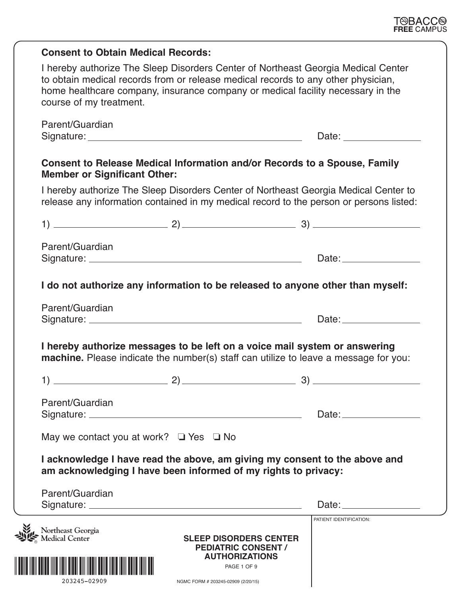|                                                                                                                                                                    | <b>Consent to Obtain Medical Records:</b>                                                                                                                                                                                                                                            |                                                                                                                                                                                                                                |  |  |  |  |
|--------------------------------------------------------------------------------------------------------------------------------------------------------------------|--------------------------------------------------------------------------------------------------------------------------------------------------------------------------------------------------------------------------------------------------------------------------------------|--------------------------------------------------------------------------------------------------------------------------------------------------------------------------------------------------------------------------------|--|--|--|--|
|                                                                                                                                                                    | I hereby authorize The Sleep Disorders Center of Northeast Georgia Medical Center<br>to obtain medical records from or release medical records to any other physician,<br>home healthcare company, insurance company or medical facility necessary in the<br>course of my treatment. |                                                                                                                                                                                                                                |  |  |  |  |
|                                                                                                                                                                    | Parent/Guardian                                                                                                                                                                                                                                                                      | Date: the contract of the contract of the contract of the contract of the contract of the contract of the contract of the contract of the contract of the contract of the contract of the contract of the contract of the cont |  |  |  |  |
|                                                                                                                                                                    | Consent to Release Medical Information and/or Records to a Spouse, Family<br><b>Member or Significant Other:</b>                                                                                                                                                                     |                                                                                                                                                                                                                                |  |  |  |  |
|                                                                                                                                                                    | I hereby authorize The Sleep Disorders Center of Northeast Georgia Medical Center to<br>release any information contained in my medical record to the person or persons listed:                                                                                                      |                                                                                                                                                                                                                                |  |  |  |  |
|                                                                                                                                                                    |                                                                                                                                                                                                                                                                                      |                                                                                                                                                                                                                                |  |  |  |  |
|                                                                                                                                                                    | Parent/Guardian                                                                                                                                                                                                                                                                      | Date: <u>Date:</u>                                                                                                                                                                                                             |  |  |  |  |
|                                                                                                                                                                    | I do not authorize any information to be released to anyone other than myself:                                                                                                                                                                                                       |                                                                                                                                                                                                                                |  |  |  |  |
|                                                                                                                                                                    | Parent/Guardian                                                                                                                                                                                                                                                                      |                                                                                                                                                                                                                                |  |  |  |  |
| I hereby authorize messages to be left on a voice mail system or answering<br>machine. Please indicate the number(s) staff can utilize to leave a message for you: |                                                                                                                                                                                                                                                                                      |                                                                                                                                                                                                                                |  |  |  |  |
|                                                                                                                                                                    | 1)<br>2)                                                                                                                                                                                                                                                                             | 3)                                                                                                                                                                                                                             |  |  |  |  |
|                                                                                                                                                                    | Parent/Guardian                                                                                                                                                                                                                                                                      | Date: <u>Date:</u>                                                                                                                                                                                                             |  |  |  |  |
|                                                                                                                                                                    | May we contact you at work? $\Box$ Yes $\Box$ No<br>I acknowledge I have read the above, am giving my consent to the above and<br>am acknowledging I have been informed of my rights to privacy:                                                                                     |                                                                                                                                                                                                                                |  |  |  |  |
|                                                                                                                                                                    |                                                                                                                                                                                                                                                                                      |                                                                                                                                                                                                                                |  |  |  |  |
|                                                                                                                                                                    | Parent/Guardian                                                                                                                                                                                                                                                                      | Date: <u>____________________</u>                                                                                                                                                                                              |  |  |  |  |
|                                                                                                                                                                    | Northeast Georgia<br><b>SLEEP DISORDERS CENTER</b><br><b>PEDIATRIC CONSENT /</b>                                                                                                                                                                                                     | PATIENT IDENTIFICATION:                                                                                                                                                                                                        |  |  |  |  |
|                                                                                                                                                                    | <b>AUTHORIZATIONS</b><br>PAGE 1 OF 9<br>203245-02909<br>NGMC FORM # 203245-02909 (2/20/15)                                                                                                                                                                                           |                                                                                                                                                                                                                                |  |  |  |  |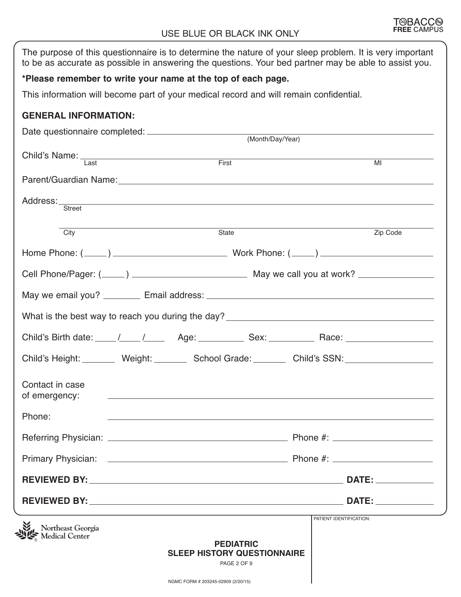#### USE BLUE OR BLACK INK ONLY

| The purpose of this questionnaire is to determine the nature of your sleep problem. It is very important<br>to be as accurate as possible in answering the questions. Your bed partner may be able to assist you.                    |                                                                       |                                                            |
|--------------------------------------------------------------------------------------------------------------------------------------------------------------------------------------------------------------------------------------|-----------------------------------------------------------------------|------------------------------------------------------------|
| *Please remember to write your name at the top of each page.                                                                                                                                                                         |                                                                       |                                                            |
| This information will become part of your medical record and will remain confidential.                                                                                                                                               |                                                                       |                                                            |
| <b>GENERAL INFORMATION:</b>                                                                                                                                                                                                          |                                                                       |                                                            |
|                                                                                                                                                                                                                                      |                                                                       |                                                            |
|                                                                                                                                                                                                                                      |                                                                       |                                                            |
| Child's Name: Last First First                                                                                                                                                                                                       |                                                                       | $\overline{\mathsf{M}}$                                    |
|                                                                                                                                                                                                                                      |                                                                       |                                                            |
| Address: <u>Street Street Street Street Street Street Street Street Street Street Street Street Street Street Street Street Street Street Street Street Street Street Street Street Street Street Street Street Street Street St</u> |                                                                       |                                                            |
| City                                                                                                                                                                                                                                 | State                                                                 | Zip Code                                                   |
|                                                                                                                                                                                                                                      |                                                                       |                                                            |
|                                                                                                                                                                                                                                      |                                                                       |                                                            |
|                                                                                                                                                                                                                                      |                                                                       |                                                            |
| What is the best way to reach you during the day? _______________________________                                                                                                                                                    |                                                                       |                                                            |
|                                                                                                                                                                                                                                      |                                                                       |                                                            |
| Child's Birth date: ____ /____ /____ Age: __________ Sex: _________ Race: __________________________                                                                                                                                 |                                                                       |                                                            |
| Child's Height: Weight: Weight: School Grade: Child's SSN: Child's Height:                                                                                                                                                           |                                                                       |                                                            |
| Contact in case<br>of emergency:                                                                                                                                                                                                     |                                                                       |                                                            |
| Phone:                                                                                                                                                                                                                               |                                                                       | <u> 1989 - Johann Stoff, amerikansk politiker (* 1989)</u> |
|                                                                                                                                                                                                                                      |                                                                       |                                                            |
|                                                                                                                                                                                                                                      |                                                                       |                                                            |
|                                                                                                                                                                                                                                      |                                                                       |                                                            |
|                                                                                                                                                                                                                                      |                                                                       |                                                            |
|                                                                                                                                                                                                                                      |                                                                       | PATIENT IDENTIFICATION:                                    |
| Northeast Georgia                                                                                                                                                                                                                    | <b>PEDIATRIC</b><br><b>SLEEP HISTORY QUESTIONNAIRE</b><br>PAGE 2 OF 9 |                                                            |
|                                                                                                                                                                                                                                      | NGMC FORM # 203245-02909 (2/20/15)                                    |                                                            |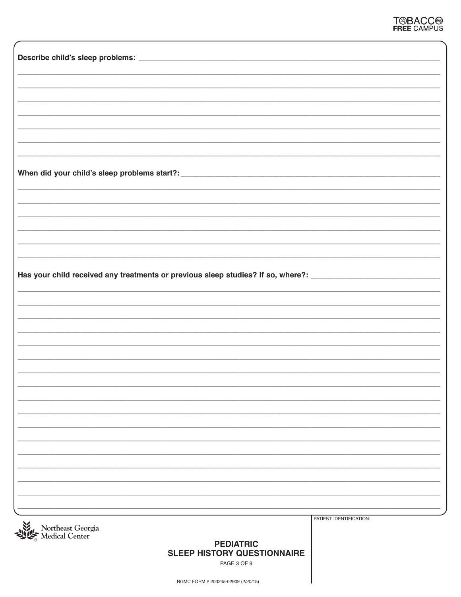| Has your child received any treatments or previous sleep studies? If so, where?: _____________________________ |                         |
|----------------------------------------------------------------------------------------------------------------|-------------------------|
|                                                                                                                |                         |
|                                                                                                                |                         |
|                                                                                                                |                         |
|                                                                                                                |                         |
|                                                                                                                |                         |
|                                                                                                                |                         |
|                                                                                                                |                         |
|                                                                                                                |                         |
|                                                                                                                |                         |
|                                                                                                                |                         |
|                                                                                                                |                         |
|                                                                                                                |                         |
|                                                                                                                |                         |
|                                                                                                                |                         |
|                                                                                                                |                         |
|                                                                                                                |                         |
|                                                                                                                |                         |
|                                                                                                                |                         |
|                                                                                                                |                         |
|                                                                                                                |                         |
|                                                                                                                |                         |
|                                                                                                                |                         |
|                                                                                                                |                         |
|                                                                                                                |                         |
|                                                                                                                |                         |
|                                                                                                                |                         |
|                                                                                                                |                         |
|                                                                                                                |                         |
|                                                                                                                | PATIENT IDENTIFICATION: |
| Northeast Georgia<br>Medical Center                                                                            |                         |
|                                                                                                                |                         |
| <b>PEDIATRIC</b>                                                                                               |                         |
| <b>SLEEP HISTORY QUESTIONNAIRE</b>                                                                             |                         |
| PAGE 3 OF 9                                                                                                    |                         |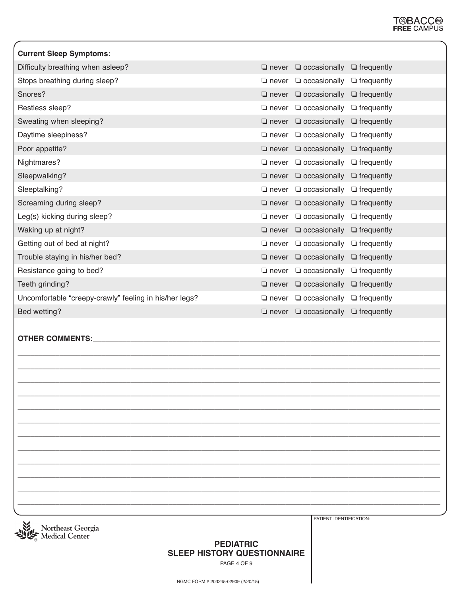| <b>Current Sleep Symptoms:</b>                         |                 |                                                    |  |
|--------------------------------------------------------|-----------------|----------------------------------------------------|--|
| Difficulty breathing when asleep?                      |                 | $\Box$ never $\Box$ occasionally $\Box$ frequently |  |
| Stops breathing during sleep?                          |                 | $\Box$ never $\Box$ occasionally $\Box$ frequently |  |
| Snores?                                                |                 | $\Box$ never $\Box$ occasionally $\Box$ frequently |  |
| Restless sleep?                                        | $\square$ never | $\Box$ occasionally $\Box$ frequently              |  |
| Sweating when sleeping?                                |                 | $\Box$ never $\Box$ occasionally $\Box$ frequently |  |
| Daytime sleepiness?                                    | $\Box$ never    | $\Box$ occasionally $\Box$ frequently              |  |
| Poor appetite?                                         |                 | $\Box$ never $\Box$ occasionally $\Box$ frequently |  |
| Nightmares?                                            |                 | $\Box$ never $\Box$ occasionally $\Box$ frequently |  |
| Sleepwalking?                                          |                 | $\Box$ never $\Box$ occasionally $\Box$ frequently |  |
| Sleeptalking?                                          |                 | $\Box$ never $\Box$ occasionally $\Box$ frequently |  |
| Screaming during sleep?                                |                 | $\Box$ never $\Box$ occasionally $\Box$ frequently |  |
| Leg(s) kicking during sleep?                           |                 | $\Box$ never $\Box$ occasionally $\Box$ frequently |  |
| Waking up at night?                                    | $\Box$ never    | $\Box$ occasionally $\Box$ frequently              |  |
| Getting out of bed at night?                           | $\square$ never | $\Box$ occasionally $\Box$ frequently              |  |
| Trouble staying in his/her bed?                        |                 | $\Box$ never $\Box$ occasionally $\Box$ frequently |  |
| Resistance going to bed?                               | $\square$ never | $\Box$ occasionally $\Box$ frequently              |  |
| Teeth grinding?                                        |                 | $\Box$ never $\Box$ occasionally $\Box$ frequently |  |
| Uncomfortable "creepy-crawly" feeling in his/her legs? | $\square$ never | $\Box$ occasionally $\Box$ frequently              |  |
| Bed wetting?                                           |                 | $\Box$ never $\Box$ occasionally $\Box$ frequently |  |

**\_\_\_\_\_\_\_\_\_\_\_\_\_\_\_\_\_\_\_\_\_\_\_\_\_\_\_\_\_\_\_\_\_\_\_\_\_\_\_\_\_\_\_\_\_\_\_\_\_\_\_\_\_\_\_\_\_\_\_\_\_\_\_\_\_\_\_\_\_\_\_\_\_\_\_\_\_\_\_\_\_\_\_\_\_\_\_\_\_\_\_\_\_\_\_\_\_\_\_\_\_ \_\_\_\_\_\_\_\_\_\_\_\_\_\_\_\_\_\_\_\_\_\_\_\_\_\_\_\_\_\_\_\_\_\_\_\_\_\_\_\_\_\_\_\_\_\_\_\_\_\_\_\_\_\_\_\_\_\_\_\_\_\_\_\_\_\_\_\_\_\_\_\_\_\_\_\_\_\_\_\_\_\_\_\_\_\_\_\_\_\_\_\_\_\_\_\_\_\_\_\_\_ \_\_\_\_\_\_\_\_\_\_\_\_\_\_\_\_\_\_\_\_\_\_\_\_\_\_\_\_\_\_\_\_\_\_\_\_\_\_\_\_\_\_\_\_\_\_\_\_\_\_\_\_\_\_\_\_\_\_\_\_\_\_\_\_\_\_\_\_\_\_\_\_\_\_\_\_\_\_\_\_\_\_\_\_\_\_\_\_\_\_\_\_\_\_\_\_\_\_\_\_\_ \_\_\_\_\_\_\_\_\_\_\_\_\_\_\_\_\_\_\_\_\_\_\_\_\_\_\_\_\_\_\_\_\_\_\_\_\_\_\_\_\_\_\_\_\_\_\_\_\_\_\_\_\_\_\_\_\_\_\_\_\_\_\_\_\_\_\_\_\_\_\_\_\_\_\_\_\_\_\_\_\_\_\_\_\_\_\_\_\_\_\_\_\_\_\_\_\_\_\_\_\_** \_\_\_\_\_\_\_\_\_\_\_\_\_\_\_\_\_\_\_\_\_\_\_\_\_\_\_\_\_\_\_\_\_\_\_\_\_\_\_\_\_\_\_\_\_\_\_\_\_\_\_\_\_\_\_\_\_\_\_\_\_\_\_\_\_\_\_\_\_\_\_\_\_\_\_\_\_\_\_\_\_\_\_\_\_\_\_\_\_\_\_\_\_\_\_\_\_\_\_\_\_ \_\_\_\_\_\_\_\_\_\_\_\_\_\_\_\_\_\_\_\_\_\_\_\_\_\_\_\_\_\_\_\_\_\_\_\_\_\_\_\_\_\_\_\_\_\_\_\_\_\_\_\_\_\_\_\_\_\_\_\_\_\_\_\_\_\_\_\_\_\_\_\_\_\_\_\_\_\_\_\_\_\_\_\_\_\_\_\_\_\_\_\_\_\_\_\_\_\_\_\_\_ \_\_\_\_\_\_\_\_\_\_\_\_\_\_\_\_\_\_\_\_\_\_\_\_\_\_\_\_\_\_\_\_\_\_\_\_\_\_\_\_\_\_\_\_\_\_\_\_\_\_\_\_\_\_\_\_\_\_\_\_\_\_\_\_\_\_\_\_\_\_\_\_\_\_\_\_\_\_\_\_\_\_\_\_\_\_\_\_\_\_\_\_\_\_\_\_\_\_\_\_\_ \_\_\_\_\_\_\_\_\_\_\_\_\_\_\_\_\_\_\_\_\_\_\_\_\_\_\_\_\_\_\_\_\_\_\_\_\_\_\_\_\_\_\_\_\_\_\_\_\_\_\_\_\_\_\_\_\_\_\_\_\_\_\_\_\_\_\_\_\_\_\_\_\_\_\_\_\_\_\_\_\_\_\_\_\_\_\_\_\_\_\_\_\_\_\_\_\_\_\_\_\_ \_\_\_\_\_\_\_\_\_\_\_\_\_\_\_\_\_\_\_\_\_\_\_\_\_\_\_\_\_\_\_\_\_\_\_\_\_\_\_\_\_\_\_\_\_\_\_\_\_\_\_\_\_\_\_\_\_\_\_\_\_\_\_\_\_\_\_\_\_\_\_\_\_\_\_\_\_\_\_\_\_\_\_\_\_\_\_\_\_\_\_\_\_\_\_\_\_\_\_\_\_ \_\_\_\_\_\_\_\_\_\_\_\_\_\_\_\_\_\_\_\_\_\_\_\_\_\_\_\_\_\_\_\_\_\_\_\_\_\_\_\_\_\_\_\_\_\_\_\_\_\_\_\_\_\_\_\_\_\_\_\_\_\_\_\_\_\_\_\_\_\_\_\_\_\_\_\_\_\_\_\_\_\_\_\_\_\_\_\_\_\_\_\_\_\_\_\_\_\_\_\_\_ \_\_\_\_\_\_\_\_\_\_\_\_\_\_\_\_\_\_\_\_\_\_\_\_\_\_\_\_\_\_\_\_\_\_\_\_\_\_\_\_\_\_\_\_\_\_\_\_\_\_\_\_\_\_\_\_\_\_\_\_\_\_\_\_\_\_\_\_\_\_\_\_\_\_\_\_\_\_\_\_\_\_\_\_\_\_\_\_\_\_\_\_\_\_\_\_\_\_\_\_\_ \_\_\_\_\_\_\_\_\_\_\_\_\_\_\_\_\_\_\_\_\_\_\_\_\_\_\_\_\_\_\_\_\_\_\_\_\_\_\_\_\_\_\_\_\_\_\_\_\_\_\_\_\_\_\_\_\_\_\_\_\_\_\_\_\_\_\_\_\_\_\_\_\_\_\_\_\_\_\_\_\_\_\_\_\_\_\_\_\_\_\_\_\_\_\_\_\_\_\_\_\_

#### **OTHER COMMENTS:\_**



PATIENT IDENTIFICATION:

#### **PEDIATRIC SLEEP HISTORY QUESTIONNAIRE**

PAGE 4 OF 9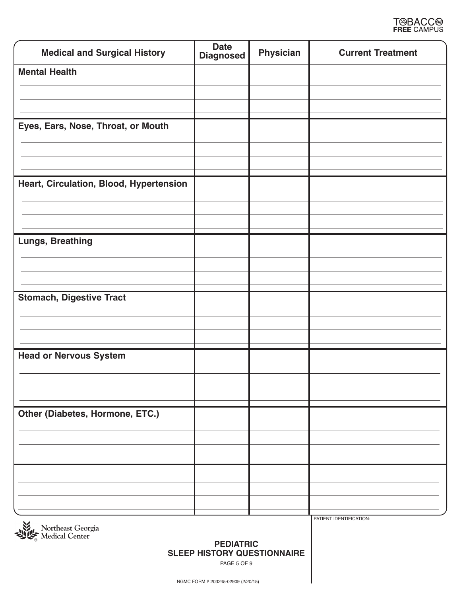

| <b>Medical and Surgical History</b>     | <b>Date</b><br><b>Diagnosed</b> | <b>Physician</b> | <b>Current Treatment</b> |
|-----------------------------------------|---------------------------------|------------------|--------------------------|
| <b>Mental Health</b>                    |                                 |                  |                          |
|                                         |                                 |                  |                          |
|                                         |                                 |                  |                          |
| Eyes, Ears, Nose, Throat, or Mouth      |                                 |                  |                          |
|                                         |                                 |                  |                          |
|                                         |                                 |                  |                          |
| Heart, Circulation, Blood, Hypertension |                                 |                  |                          |
|                                         |                                 |                  |                          |
| Lungs, Breathing                        |                                 |                  |                          |
|                                         |                                 |                  |                          |
|                                         |                                 |                  |                          |
|                                         |                                 |                  |                          |
| <b>Stomach, Digestive Tract</b>         |                                 |                  |                          |
|                                         |                                 |                  |                          |
|                                         |                                 |                  |                          |
| <b>Head or Nervous System</b>           |                                 |                  |                          |
|                                         |                                 |                  |                          |
|                                         |                                 |                  |                          |
| Other (Diabetes, Hormone, ETC.)         |                                 |                  |                          |
|                                         |                                 |                  |                          |
|                                         |                                 |                  |                          |
|                                         |                                 |                  |                          |
|                                         |                                 |                  |                          |
|                                         |                                 |                  |                          |



PATIENT IDENTIFICATION:

#### **PEDIATRIC SLEEP HISTORY QUESTIONNAIRE**

PAGE 5 OF 9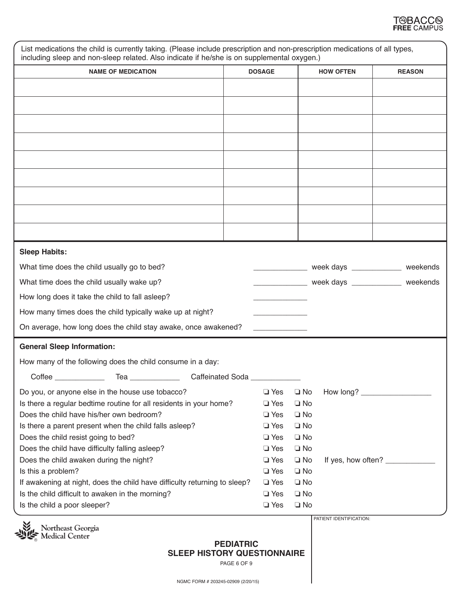

| <b>NAME OF MEDICATION</b>                                                  | <b>DOSAGE</b> |              | <b>HOW OFTEN</b>              | <b>REASON</b> |
|----------------------------------------------------------------------------|---------------|--------------|-------------------------------|---------------|
|                                                                            |               |              |                               |               |
|                                                                            |               |              |                               |               |
|                                                                            |               |              |                               |               |
|                                                                            |               |              |                               |               |
|                                                                            |               |              |                               |               |
|                                                                            |               |              |                               |               |
|                                                                            |               |              |                               |               |
|                                                                            |               |              |                               |               |
|                                                                            |               |              |                               |               |
|                                                                            |               |              |                               |               |
|                                                                            |               |              |                               |               |
|                                                                            |               |              |                               |               |
| <b>Sleep Habits:</b>                                                       |               |              |                               |               |
| What time does the child usually go to bed?                                |               |              | week days __________ weekends |               |
| What time does the child usually wake up?                                  |               |              | week days __________ weekends |               |
| How long does it take the child to fall asleep?                            |               |              |                               |               |
|                                                                            |               |              |                               |               |
| How many times does the child typically wake up at night?                  |               |              |                               |               |
| On average, how long does the child stay awake, once awakened?             |               |              |                               |               |
| <b>General Sleep Information:</b>                                          |               |              |                               |               |
| How many of the following does the child consume in a day:                 |               |              |                               |               |
| Coffee<br>_________________ Tea _______________<br><b>Caffeinated Soda</b> |               |              |                               |               |
| Do you, or anyone else in the house use tobacco?                           | $\Box$ Yes    | $\square$ No | How long?                     |               |
| Is there a regular bedtime routine for all residents in your home?         | $\Box$ Yes    | $\Box$ No    |                               |               |
| Does the child have his/her own bedroom?                                   | $\Box$ Yes    | $\Box$ No    |                               |               |
| Is there a parent present when the child falls asleep?                     | $\Box$ Yes    | $\Box$ No    |                               |               |
| Does the child resist going to bed?                                        | $\Box$ Yes    | $\Box$ No    |                               |               |
| Does the child have difficulty falling asleep?                             | $\Box$ Yes    | $\Box$ No    |                               |               |
| Does the child awaken during the night?                                    | $\Box$ Yes    | $\Box$ No    | If yes, how often? _________  |               |
| Is this a problem?                                                         | $\Box$ Yes    | $\Box$ No    |                               |               |
| If awakening at night, does the child have difficulty returning to sleep?  | $\Box$ Yes    | $\Box$ No    |                               |               |
| Is the child difficult to awaken in the morning?                           | $\Box$ Yes    | $\Box$ No    |                               |               |
| Is the child a poor sleeper?                                               | $\Box$ Yes    | $\Box$ No    |                               |               |

**PEDIATRIC SLEEP HISTORY QUESTIONNAIRE**

PAGE 6 OF 9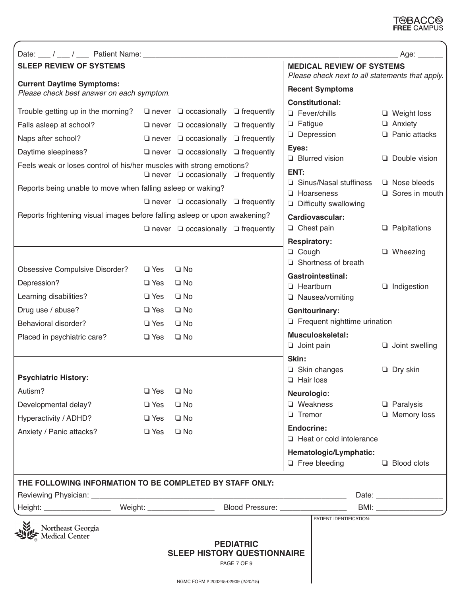## T<sup>@</sup>BACC<sup>@</sup><br>FREE CAMPUS

|                                                                                                                                                                                                                                                                                                                                 |                                                      |                                                                                                                                                                                                                                                                                                                                  |                                 |                                                                 |                                                                                                                                                                                            | Age: $\_\_\_\_\_\_\$                                                                                                    |
|---------------------------------------------------------------------------------------------------------------------------------------------------------------------------------------------------------------------------------------------------------------------------------------------------------------------------------|------------------------------------------------------|----------------------------------------------------------------------------------------------------------------------------------------------------------------------------------------------------------------------------------------------------------------------------------------------------------------------------------|---------------------------------|-----------------------------------------------------------------|--------------------------------------------------------------------------------------------------------------------------------------------------------------------------------------------|-------------------------------------------------------------------------------------------------------------------------|
| <b>SLEEP REVIEW OF SYSTEMS</b>                                                                                                                                                                                                                                                                                                  |                                                      |                                                                                                                                                                                                                                                                                                                                  |                                 |                                                                 | <b>MEDICAL REVIEW OF SYSTEMS</b>                                                                                                                                                           | Please check next to all statements that apply.                                                                         |
| <b>Current Daytime Symptoms:</b><br>Please check best answer on each symptom.                                                                                                                                                                                                                                                   |                                                      |                                                                                                                                                                                                                                                                                                                                  |                                 |                                                                 | <b>Recent Symptoms</b>                                                                                                                                                                     |                                                                                                                         |
| Trouble getting up in the morning?<br>Falls asleep at school?<br>Naps after school?<br>Daytime sleepiness?<br>Feels weak or loses control of his/her muscles with strong emotions?<br>Reports being unable to move when falling asleep or waking?<br>Reports frightening visual images before falling asleep or upon awakening? |                                                      | $\Box$ never $\Box$ occasionally $\Box$ frequently<br>$\Box$ never $\Box$ occasionally $\Box$ frequently<br>$\Box$ never $\Box$ occasionally $\Box$ frequently<br>$\Box$ never $\Box$ occasionally $\Box$ frequently<br>$\Box$ never $\Box$ occasionally $\Box$ frequently<br>$\Box$ never $\Box$ occasionally $\Box$ frequently |                                 | $\Box$ Fatigue<br>Eyes:<br>ENT:                                 | <b>Constitutional:</b><br>□ Fever/chills<br>$\Box$ Depression<br>$\Box$ Blurred vision<br>□ Sinus/Nasal stuffiness<br>$\Box$ Hoarseness<br><b>Difficulty swallowing</b><br>Cardiovascular: | $\Box$ Weight loss<br><b>4</b> Anxiety<br><b>Fanic attacks</b><br>Double vision<br>$\Box$ Nose bleeds<br>Sores in mouth |
|                                                                                                                                                                                                                                                                                                                                 |                                                      | $\Box$ never $\Box$ occasionally $\Box$ frequently                                                                                                                                                                                                                                                                               |                                 |                                                                 | $\Box$ Chest pain                                                                                                                                                                          | $\Box$ Palpitations                                                                                                     |
|                                                                                                                                                                                                                                                                                                                                 |                                                      |                                                                                                                                                                                                                                                                                                                                  |                                 | <b>Respiratory:</b><br>□ Cough                                  | Shortness of breath                                                                                                                                                                        | $\Box$ Wheezing                                                                                                         |
| <b>Obsessive Compulsive Disorder?</b><br>Depression?                                                                                                                                                                                                                                                                            | $\Box$ Yes<br>$\Box$ Yes                             | $\square$ No<br>$\square$ No                                                                                                                                                                                                                                                                                                     |                                 |                                                                 | <b>Gastrointestinal:</b>                                                                                                                                                                   |                                                                                                                         |
| Learning disabilities?                                                                                                                                                                                                                                                                                                          | $\Box$ Yes                                           | $\Box$ No                                                                                                                                                                                                                                                                                                                        |                                 | $\Box$ Heartburn                                                | □ Nausea/vomiting                                                                                                                                                                          | $\Box$ Indigestion                                                                                                      |
| Drug use / abuse?                                                                                                                                                                                                                                                                                                               | $\Box$ Yes                                           | $\square$ No                                                                                                                                                                                                                                                                                                                     |                                 |                                                                 | <b>Genitourinary:</b>                                                                                                                                                                      |                                                                                                                         |
| Behavioral disorder?                                                                                                                                                                                                                                                                                                            | $\Box$ Yes                                           | $\square$ No                                                                                                                                                                                                                                                                                                                     |                                 |                                                                 | $\Box$ Frequent nighttime urination                                                                                                                                                        |                                                                                                                         |
| Placed in psychiatric care?                                                                                                                                                                                                                                                                                                     | $\Box$ Yes                                           | $\Box$ No                                                                                                                                                                                                                                                                                                                        |                                 | $\Box$ Joint pain                                               | Musculoskeletal:                                                                                                                                                                           | $\Box$ Joint swelling                                                                                                   |
| <b>Psychiatric History:</b>                                                                                                                                                                                                                                                                                                     |                                                      |                                                                                                                                                                                                                                                                                                                                  |                                 | Skin:<br>$\Box$ Hair loss                                       | $\Box$ Skin changes                                                                                                                                                                        | $\Box$ Dry skin                                                                                                         |
| Autism?<br>Developmental delay?<br>Hyperactivity / ADHD?<br>Anxiety / Panic attacks?                                                                                                                                                                                                                                            | $\Box$ Yes<br>$\Box$ Yes<br>$\Box$ Yes<br>$\Box$ Yes | $\Box$ No<br>$\Box$ No<br>$\square$ No<br>$\Box$ No                                                                                                                                                                                                                                                                              |                                 | Neurologic:<br>□ Weakness<br>$\Box$ Tremor<br><b>Endocrine:</b> | Heat or cold intolerance                                                                                                                                                                   | $\Box$ Paralysis<br>$\Box$ Memory loss                                                                                  |
|                                                                                                                                                                                                                                                                                                                                 |                                                      |                                                                                                                                                                                                                                                                                                                                  |                                 |                                                                 | Hematologic/Lymphatic:<br>$\Box$ Free bleeding                                                                                                                                             | $\Box$ Blood clots                                                                                                      |
| THE FOLLOWING INFORMATION TO BE COMPLETED BY STAFF ONLY:                                                                                                                                                                                                                                                                        |                                                      |                                                                                                                                                                                                                                                                                                                                  |                                 |                                                                 |                                                                                                                                                                                            |                                                                                                                         |
|                                                                                                                                                                                                                                                                                                                                 |                                                      |                                                                                                                                                                                                                                                                                                                                  |                                 |                                                                 |                                                                                                                                                                                            |                                                                                                                         |
|                                                                                                                                                                                                                                                                                                                                 |                                                      |                                                                                                                                                                                                                                                                                                                                  |                                 |                                                                 | PATIENT IDENTIFICATION:                                                                                                                                                                    |                                                                                                                         |
| Northeast Georgia                                                                                                                                                                                                                                                                                                               |                                                      | <b>SLEEP HISTORY QUESTIONNAIRE</b><br>NGMC FORM # 203245-02909 (2/20/15)                                                                                                                                                                                                                                                         | <b>PEDIATRIC</b><br>PAGE 7 OF 9 |                                                                 |                                                                                                                                                                                            |                                                                                                                         |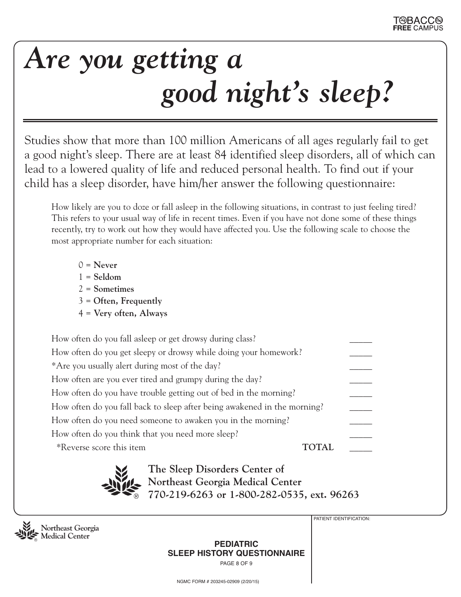# *Are you getting a good night's sleep?*

Studies show that more than 100 million Americans of all ages regularly fail to get a good night's sleep. There are at least 84 identified sleep disorders, all of which can lead to a lowered quality of life and reduced personal health. To find out if your child has a sleep disorder, have him/her answer the following questionnaire:

How likely are you to doze or fall asleep in the following situations, in contrast to just feeling tired? This refers to your usual way of life in recent times. Even if you have not done some of these things recently, try to work out how they would have affected you. Use the following scale to choose the most appropriate number for each situation:

- $0 =$ **Never**
- 1 = **Seldom**
- 2 = **Sometimes**
- 3 = **Often, Frequently**
- 4 = **Very often, Always**

| How often do you fall asleep or get drowsy during class?                 |       |  |
|--------------------------------------------------------------------------|-------|--|
| How often do you get sleepy or drowsy while doing your homework?         |       |  |
| *Are you usually alert during most of the day?                           |       |  |
| How often are you ever tired and grumpy during the day?                  |       |  |
| How often do you have trouble getting out of bed in the morning?         |       |  |
| How often do you fall back to sleep after being awakened in the morning? |       |  |
| How often do you need someone to awaken you in the morning?              |       |  |
| How often do you think that you need more sleep?                         |       |  |
| *Reverse score this item                                                 | TOTAL |  |
|                                                                          |       |  |



**The Sleep Disorders Center of Northeast Georgia Medical Center 770-219-6263 or 1-800-282-0535, ext. 96263**



PATIENT IDENTIFICATION:

**PEDIATRIC SLEEP HISTORY QUESTIONNAIRE** PAGE 8 OF 9